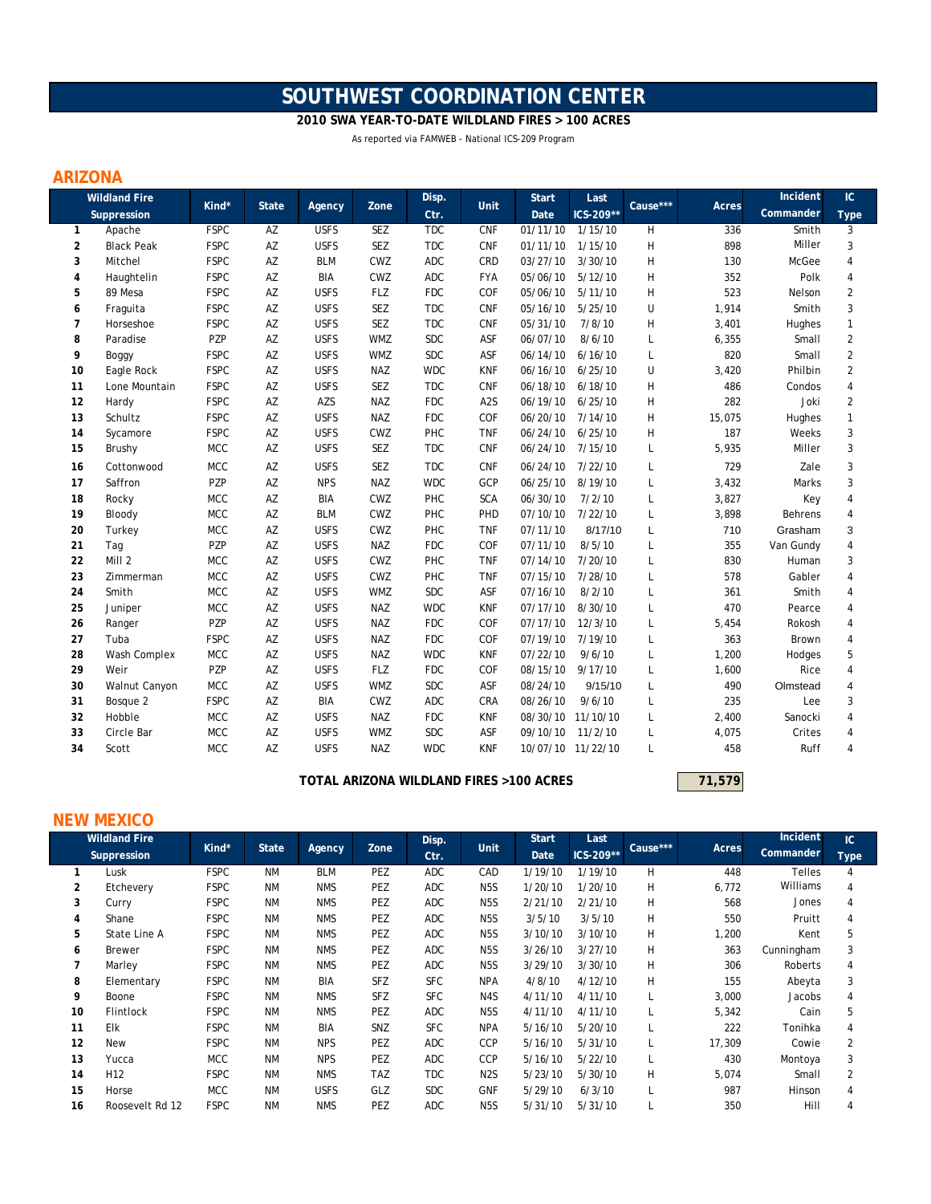# **SOUTHWEST COORDINATION CENTER**

#### **2010 SWA YEAR-TO-DATE WILDLAND FIRES > 100 ACRES**

As reported via FAMWEB - National ICS-209 Program

### **ARIZONA**

|                | <b>Wildland Fire</b> |             |              |             |            | Disp.      | Unit             | <b>Start</b>      | Last              | Cause*** |        | Incident  | IC             |
|----------------|----------------------|-------------|--------------|-------------|------------|------------|------------------|-------------------|-------------------|----------|--------|-----------|----------------|
|                | Suppression          | Kind*       | <b>State</b> | Agency      | Zone       | Ctr.       |                  | Date              | ICS-209**         |          | Acres  | Commander | <b>Type</b>    |
| 1              | Apache               | <b>FSPC</b> | AZ           | <b>USFS</b> | SEZ        | <b>TDC</b> | <b>CNF</b>       | 01/11/10          | 1/15/10           | H        | 336    | Smith     | 3              |
| 2              | <b>Black Peak</b>    | <b>FSPC</b> | AZ           | <b>USFS</b> | SEZ        | <b>TDC</b> | <b>CNF</b>       | 01/11/10          | 1/15/10           | H        | 898    | Miller    | 3              |
| 3              | Mitchel              | <b>FSPC</b> | AZ           | <b>BLM</b>  | CWZ        | ADC        | CRD              | 03/27/10          | 3/30/10           | Η        | 130    | McGee     | $\overline{4}$ |
| 4              | Haughtelin           | <b>FSPC</b> | AZ           | <b>BIA</b>  | CWZ        | <b>ADC</b> | <b>FYA</b>       | 05/06/10          | 5/12/10           | Η        | 352    | Polk      | $\overline{4}$ |
| 5              | 89 Mesa              | <b>FSPC</b> | AZ           | <b>USFS</b> | <b>FLZ</b> | <b>FDC</b> | COF              | 05/06/10          | 5/11/10           | H        | 523    | Nelson    | 2              |
| 6              | Fraguita             | <b>FSPC</b> | AZ           | <b>USFS</b> | SEZ        | <b>TDC</b> | <b>CNF</b>       | 05/16/10          | 5/25/10           | U        | 1,914  | Smith     | 3              |
| $\overline{7}$ | Horseshoe            | <b>FSPC</b> | AZ           | <b>USFS</b> | <b>SEZ</b> | <b>TDC</b> | CNF              | 05/31/10          | 7/8/10            | н        | 3,401  | Hughes    | $\mathbf{1}$   |
| 8              | Paradise             | PZP         | AZ           | <b>USFS</b> | <b>WMZ</b> | <b>SDC</b> | ASF              | 06/07/10          | 8/6/10            | L        | 6,355  | Small     | $\overline{2}$ |
| 9              | Boggy                | <b>FSPC</b> | AZ           | <b>USFS</b> | <b>WMZ</b> | <b>SDC</b> | ASF              | 06/14/10          | 6/16/10           | L        | 820    | Small     | $\overline{2}$ |
| 10             | Eagle Rock           | <b>FSPC</b> | AZ           | <b>USFS</b> | <b>NAZ</b> | <b>WDC</b> | <b>KNF</b>       | 06/16/10          | 6/25/10           | U        | 3,420  | Philbin   | $\overline{2}$ |
| 11             | Lone Mountain        | <b>FSPC</b> | AZ           | <b>USFS</b> | SEZ        | <b>TDC</b> | <b>CNF</b>       | 06/18/10          | 6/18/10           | H        | 486    | Condos    | $\overline{4}$ |
| 12             | Hardy                | <b>FSPC</b> | AZ           | AZS         | <b>NAZ</b> | <b>FDC</b> | A <sub>2</sub> S | 06/19/10          | 6/25/10           | H        | 282    | Joki      | 2              |
| 13             | Schultz              | <b>FSPC</b> | AZ           | <b>USFS</b> | <b>NAZ</b> | <b>FDC</b> | COF              | 06/20/10          | 7/14/10           | H        | 15,075 | Hughes    | $\mathbf{1}$   |
| 14             | Sycamore             | <b>FSPC</b> | AZ           | <b>USFS</b> | CWZ        | PHC        | <b>TNF</b>       | 06/24/10          | 6/25/10           | H        | 187    | Weeks     | 3              |
| 15             | Brushy               | <b>MCC</b>  | AZ           | <b>USFS</b> | SEZ        | <b>TDC</b> | <b>CNF</b>       | 06/24/10          | 7/15/10           | L        | 5,935  | Miller    | 3              |
| 16             | Cottonwood           | <b>MCC</b>  | AZ           | <b>USFS</b> | SEZ        | <b>TDC</b> | CNF              | 06/24/10          | 7/22/10           | L        | 729    | Zale      | 3              |
| 17             | Saffron              | PZP         | AZ           | <b>NPS</b>  | <b>NAZ</b> | <b>WDC</b> | GCP              | 06/25/10          | 8/19/10           | L        | 3,432  | Marks     | 3              |
| 18             | Rocky                | MCC         | AZ           | BIA         | CWZ        | PHC        | <b>SCA</b>       | 06/30/10          | 7/2/10            | L        | 3,827  | Key       | 4              |
| 19             | Bloody               | <b>MCC</b>  | AZ           | <b>BLM</b>  | CWZ        | PHC        | PHD              | 07/10/10          | 7/22/10           | L        | 3,898  | Behrens   | 4              |
| 20             | Turkey               | <b>MCC</b>  | AZ           | <b>USFS</b> | CWZ        | PHC        | <b>TNF</b>       | 07/11/10          | 8/17/10           | L        | 710    | Grasham   | 3              |
| 21             | Tag                  | PZP         | AZ           | <b>USFS</b> | <b>NAZ</b> | <b>FDC</b> | COF              | 07/11/10          | 8/5/10            | L        | 355    | Van Gundy | 4              |
| 22             | Mill 2               | <b>MCC</b>  | AZ           | <b>USFS</b> | CWZ        | PHC        | <b>TNF</b>       | 07/14/10          | 7/20/10           | L        | 830    | Human     | 3              |
| 23             | Zimmerman            | <b>MCC</b>  | AZ           | <b>USFS</b> | CWZ        | PHC        | <b>TNF</b>       | 07/15/10          | 7/28/10           | L        | 578    | Gabler    | $\overline{4}$ |
| 24             | Smith                | <b>MCC</b>  | AZ           | <b>USFS</b> | <b>WMZ</b> | <b>SDC</b> | ASF              | 07/16/10          | 8/2/10            | L        | 361    | Smith     | 4              |
| 25             | Juniper              | <b>MCC</b>  | AZ           | <b>USFS</b> | <b>NAZ</b> | <b>WDC</b> | <b>KNF</b>       | 07/17/10          | 8/30/10           | L        | 470    | Pearce    | 4              |
| 26             | Ranger               | PZP         | AZ           | <b>USFS</b> | <b>NAZ</b> | <b>FDC</b> | COF              | 07/17/10          | 12/3/10           | L        | 5,454  | Rokosh    | $\overline{4}$ |
| 27             | Tuba                 | <b>FSPC</b> | AZ           | <b>USFS</b> | <b>NAZ</b> | <b>FDC</b> | COF              | 07/19/10          | 7/19/10           | L        | 363    | Brown     | $\overline{4}$ |
| 28             | Wash Complex         | <b>MCC</b>  | AZ           | <b>USFS</b> | <b>NAZ</b> | <b>WDC</b> | <b>KNF</b>       | 07/22/10          | 9/6/10            | L        | 1,200  | Hodges    | 5              |
| 29             | Weir                 | PZP         | AZ           | <b>USFS</b> | <b>FLZ</b> | <b>FDC</b> | COF              | 08/15/10          | 9/17/10           | L        | 1,600  | Rice      | 4              |
| 30             | Walnut Canyon        | <b>MCC</b>  | AZ           | <b>USFS</b> | <b>WMZ</b> | <b>SDC</b> | ASF              | 08/24/10          | 9/15/10           | L        | 490    | Olmstead  | 4              |
| 31             | Bosque 2             | <b>FSPC</b> | AZ           | BIA         | CWZ        | ADC        | CRA              | 08/26/10          | 9/6/10            | L        | 235    | Lee       | 3              |
| 32             | Hobble               | <b>MCC</b>  | AZ           | <b>USFS</b> | <b>NAZ</b> | <b>FDC</b> | <b>KNF</b>       |                   | 08/30/10 11/10/10 | L        | 2,400  | Sanocki   | 4              |
| 33             | Circle Bar           | <b>MCC</b>  | AZ           | <b>USFS</b> | <b>WMZ</b> | <b>SDC</b> | ASF              | 09/10/10          | 11/2/10           | L        | 4,075  | Crites    | 4              |
| 34             | Scott                | <b>MCC</b>  | AZ           | <b>USFS</b> | <b>NAZ</b> | <b>WDC</b> | <b>KNF</b>       | 10/07/10 11/22/10 |                   | L        | 458    | Ruff      | 4              |

**100 TOTAL ARIZONA WILDLAND FIRES >100 ACRES 100 ACRES** 

#### **NEW MEXICO**

|    | <b>Wildland Fire</b> |             |              |             |            | Disp.      |                  | <b>Start</b> | Last      |          |        | Incident      | IC             |
|----|----------------------|-------------|--------------|-------------|------------|------------|------------------|--------------|-----------|----------|--------|---------------|----------------|
|    | Suppression          | Kind*       | <b>State</b> | Agency      | Zone       | Ctr.       | <b>Unit</b>      | Date         | ICS-209** | Cause*** | Acres  | Commander     | <b>Type</b>    |
| 1  | Lusk                 | <b>FSPC</b> | <b>NM</b>    | <b>BLM</b>  | PEZ        | <b>ADC</b> | CAD              | 1/19/10      | 1/19/10   | H        | 448    | <b>Telles</b> | 4              |
| 2  | Etchevery            | <b>FSPC</b> | <b>NM</b>    | <b>NMS</b>  | PEZ        | ADC        | N <sub>5</sub> S | 1/20/10      | 1/20/10   | H        | 6,772  | Williams      | 4              |
| 3  | Curry                | <b>FSPC</b> | <b>NM</b>    | <b>NMS</b>  | PEZ        | <b>ADC</b> | N <sub>5</sub> S | 2/21/10      | 2/21/10   | H        | 568    | Jones         | 4              |
| 4  | Shane                | <b>FSPC</b> | <b>NM</b>    | <b>NMS</b>  | PEZ        | ADC        | N <sub>5</sub> S | 3/5/10       | 3/5/10    | Н        | 550    | Pruitt        | 4              |
| 5  | State Line A         | <b>FSPC</b> | <b>NM</b>    | <b>NMS</b>  | PEZ        | <b>ADC</b> | N <sub>5</sub> S | 3/10/10      | 3/10/10   | H        | 1,200  | Kent          | 5              |
| 6  | <b>Brewer</b>        | <b>FSPC</b> | <b>NM</b>    | <b>NMS</b>  | PEZ        | ADC        | N <sub>5</sub> S | 3/26/10      | 3/27/10   | H        | 363    | Cunningham    | 3              |
| 7  | Marley               | <b>FSPC</b> | <b>NM</b>    | <b>NMS</b>  | PEZ        | ADC        | N <sub>5</sub> S | 3/29/10      | 3/30/10   | H        | 306    | Roberts       | 4              |
| 8  | Elementary           | <b>FSPC</b> | <b>NM</b>    | <b>BIA</b>  | <b>SFZ</b> | <b>SFC</b> | <b>NPA</b>       | 4/8/10       | 4/12/10   | H        | 155    | Abeyta        | 3              |
| 9  | Boone                | <b>FSPC</b> | <b>NM</b>    | <b>NMS</b>  | <b>SFZ</b> | <b>SFC</b> | N <sub>4</sub> S | 4/11/10      | 4/11/10   | L        | 3,000  | Jacobs        | 4              |
| 10 | <b>Flintlock</b>     | <b>FSPC</b> | <b>NM</b>    | <b>NMS</b>  | PEZ        | ADC        | N <sub>5</sub> S | 4/11/10      | 4/11/10   |          | 5,342  | Cain          | 5              |
| 11 | Elk                  | <b>FSPC</b> | <b>NM</b>    | BIA         | SNZ        | <b>SFC</b> | <b>NPA</b>       | 5/16/10      | 5/20/10   |          | 222    | Tonihka       | 4              |
| 12 | <b>New</b>           | <b>FSPC</b> | <b>NM</b>    | <b>NPS</b>  | PEZ        | <b>ADC</b> | <b>CCP</b>       | 5/16/10      | 5/31/10   |          | 17,309 | Cowie         | $\overline{2}$ |
| 13 | Yucca                | <b>MCC</b>  | <b>NM</b>    | <b>NPS</b>  | PEZ        | <b>ADC</b> | <b>CCP</b>       | 5/16/10      | 5/22/10   | L        | 430    | Montoya       | 3              |
| 14 | H <sub>12</sub>      | <b>FSPC</b> | <b>NM</b>    | <b>NMS</b>  | <b>TAZ</b> | <b>TDC</b> | N <sub>2</sub> S | 5/23/10      | 5/30/10   | H        | 5,074  | Small         | $\overline{2}$ |
| 15 | Horse                | <b>MCC</b>  | <b>NM</b>    | <b>USFS</b> | GLZ        | <b>SDC</b> | <b>GNF</b>       | 5/29/10      | 6/3/10    |          | 987    | Hinson        | 4              |
| 16 | Roosevelt Rd 12      | <b>FSPC</b> | <b>NM</b>    | <b>NMS</b>  | PEZ        | <b>ADC</b> | N <sub>5</sub> S | 5/31/10      | 5/31/10   |          | 350    | Hill          | 4              |